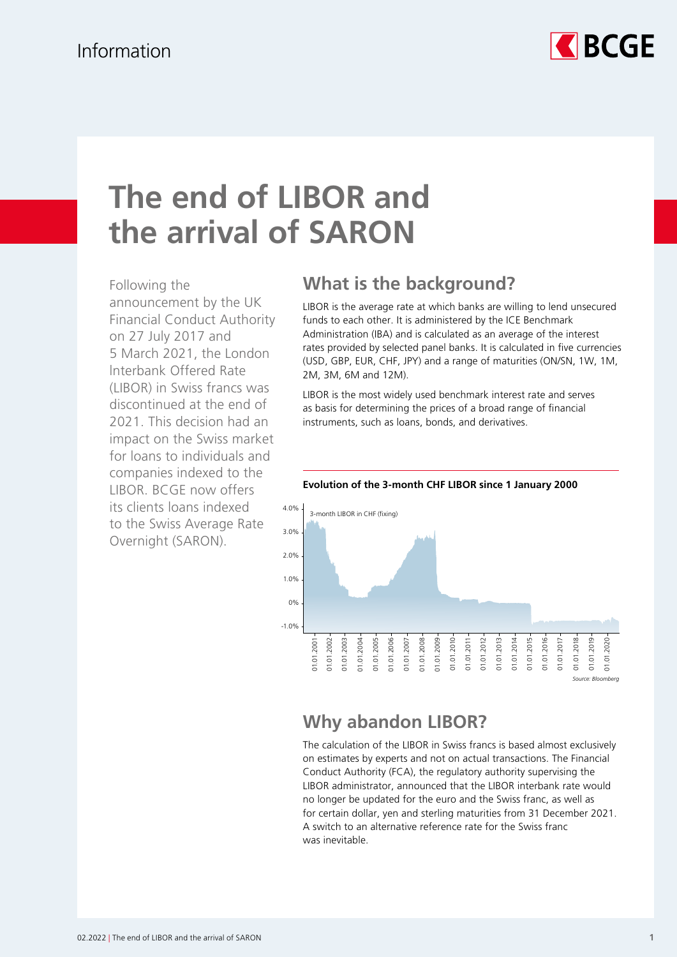

# **The end of LIBOR and the arrival of SARON**

Following the announcement by the UK Financial Conduct Authority on 27 July 2017 and 5 March 2021, the London lnterbank Offered Rate (LIBOR) in Swiss francs was discontinued at the end of 2021. This decision had an impact on the Swiss market for loans to individuals and companies indexed to the LIBOR. BCGE now offers its clients loans indexed to the Swiss Average Rate Overnight (SARON).

# **What is the background?**

LIBOR is the average rate at which banks are willing to lend unsecured funds to each other. It is administered by the ICE Benchmark Administration (IBA) and is calculated as an average of the interest rates provided by selected panel banks. It is calculated in five currencies (USD, GBP, EUR, CHF, JPY) and a range of maturities (ON/SN, 1W, 1M, 2M, 3M, 6M and 12M).

LIBOR is the most widely used benchmark interest rate and serves as basis for determining the prices of a broad range of financial instruments, such as loans, bonds, and derivatives.



#### **Evolution of the 3-month CHF LIBOR since 1 January 2000**

### **Why abandon LIBOR?**

The calculation of the LIBOR in Swiss francs is based almost exclusively on estimates by experts and not on actual transactions. The Financial Conduct Authority (FCA), the regulatory authority supervising the LIBOR administrator, announced that the LIBOR interbank rate would no longer be updated for the euro and the Swiss franc, as well as for certain dollar, yen and sterling maturities from 31 December 2021. A switch to an alternative reference rate for the Swiss franc was inevitable.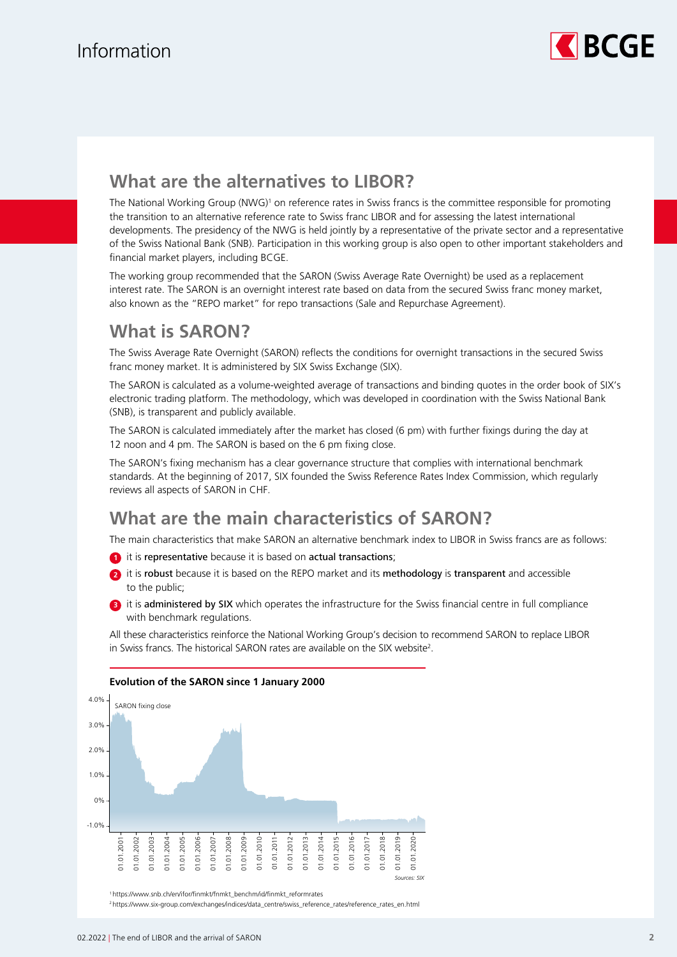

### **What are the alternatives to LIBOR?**

The National Working Group (NWG)<sup>1</sup> on reference rates in Swiss francs is the committee responsible for promoting the transition to an alternative reference rate to Swiss franc LIBOR and for assessing the latest international developments. The presidency of the NWG is held jointly by a representative of the private sector and a representative of the Swiss National Bank (SNB). Participation in this working group is also open to other important stakeholders and financial market players, including BCGE.

The working group recommended that the SARON (Swiss Average Rate Overnight) be used as a replacement interest rate. The SARON is an overnight interest rate based on data from the secured Swiss franc money market, also known as the "REPO market" for repo transactions (Sale and Repurchase Agreement).

# **What is SARON?**

The Swiss Average Rate Overnight (SARON) reflects the conditions for overnight transactions in the secured Swiss franc money market. It is administered by SIX Swiss Exchange (SIX).

The SARON is calculated as a volume-weighted average of transactions and binding quotes in the order book of SIX's electronic trading platform. The methodology, which was developed in coordination with the Swiss National Bank (SNB), is transparent and publicly available.

The SARON is calculated immediately after the market has closed (6 pm) with further fixings during the day at 12 noon and 4 pm. The SARON is based on the 6 pm fixing close.

The SARON's fixing mechanism has a clear governance structure that complies with international benchmark standards. At the beginning of 2017, SIX founded the Swiss Reference Rates Index Commission, which regularly reviews all aspects of SARON in CHF.

### **What are the main characteristics of SARON?**

The main characteristics that make SARON an alternative benchmark index to LIBOR in Swiss francs are as follows:

- **1** it is representative because it is based on actual transactions;
- **2** it is robust because it is based on the REPO market and its methodology is transparent and accessible to the public;
- <sup>3</sup> it is administered by SIX which operates the infrastructure for the Swiss financial centre in full compliance with benchmark regulations.

All these characteristics reinforce the National Working Group's decision to recommend SARON to replace LIBOR in Swiss francs. The historical SARON rates are available on the SIX website<sup>2</sup>.



#### **Evolution of the SARON since 1 January 2000**

<sup>1</sup> https://www.snb.ch/en/ifor/finmkt/fnmkt\_benchm/id/finmkt\_reformrates

<sup>2</sup> https://www.six-group.com/exchanges/indices/data\_centre/swiss\_reference\_rates/reference\_rates\_en.html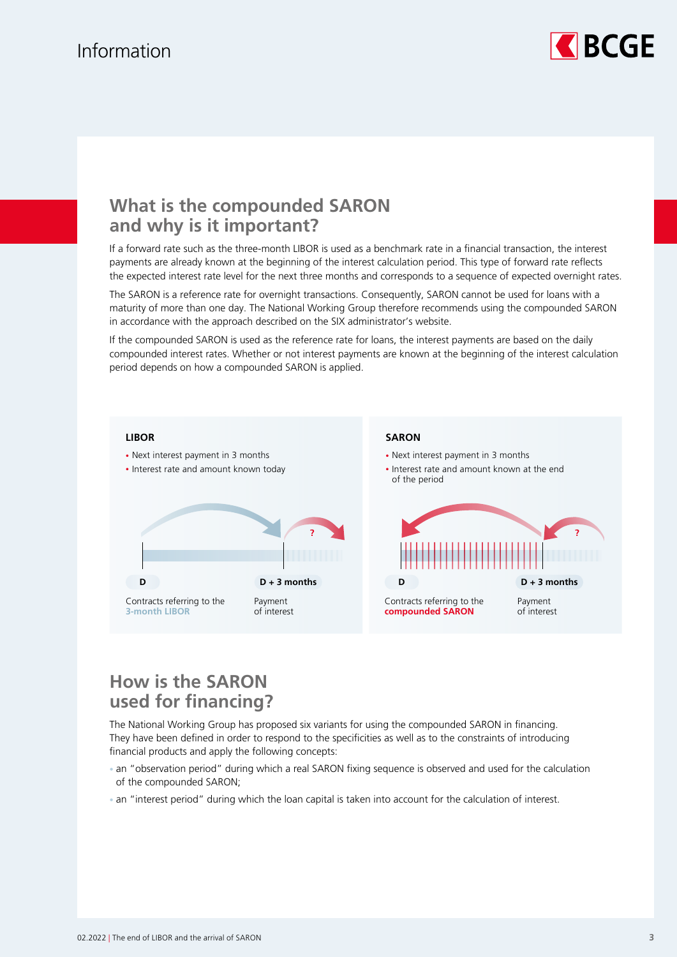# Information



### **What is the compounded SARON and why is it important?**

If a forward rate such as the three-month LIBOR is used as a benchmark rate in a financial transaction, the interest payments are already known at the beginning of the interest calculation period. This type of forward rate reflects the expected interest rate level for the next three months and corresponds to a sequence of expected overnight rates.

The SARON is a reference rate for overnight transactions. Consequently, SARON cannot be used for loans with a maturity of more than one day. The National Working Group therefore recommends using the compounded SARON in accordance with the approach described on the SIX administrator's website.

If the compounded SARON is used as the reference rate for loans, the interest payments are based on the daily compounded interest rates. Whether or not interest payments are known at the beginning of the interest calculation period depends on how a compounded SARON is applied.



## **How is the SARON used for financing?**

The National Working Group has proposed six variants for using the compounded SARON in financing. They have been defined in order to respond to the specificities as well as to the constraints of introducing financial products and apply the following concepts:

- an "observation period" during which a real SARON fixing sequence is observed and used for the calculation of the compounded SARON;
- an "interest period" during which the loan capital is taken into account for the calculation of interest.